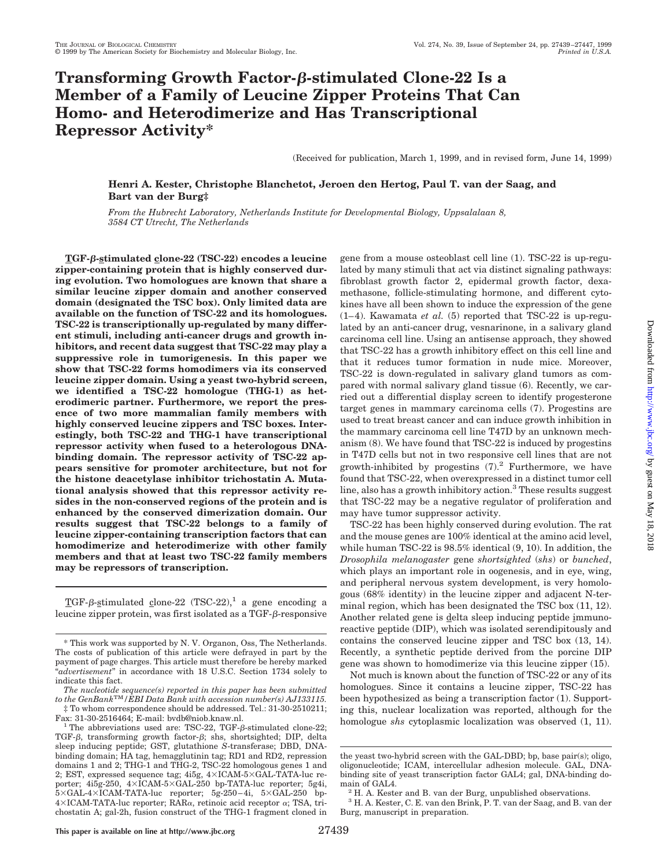# **Transforming Growth Factor-**b**-stimulated Clone-22 Is a Member of a Family of Leucine Zipper Proteins That Can Homo- and Heterodimerize and Has Transcriptional Repressor Activity\***

(Received for publication, March 1, 1999, and in revised form, June 14, 1999)

## **Henri A. Kester, Christophe Blanchetot, Jeroen den Hertog, Paul T. van der Saag, and Bart van der Burg‡**

*From the Hubrecht Laboratory, Netherlands Institute for Developmental Biology, Uppsalalaan 8, 3584 CT Utrecht, The Netherlands*

**TGF-**b**-stimulated clone-22 (TSC-22) encodes a leucine zipper-containing protein that is highly conserved during evolution. Two homologues are known that share a similar leucine zipper domain and another conserved domain (designated the TSC box). Only limited data are available on the function of TSC-22 and its homologues. TSC-22 is transcriptionally up-regulated by many different stimuli, including anti-cancer drugs and growth inhibitors, and recent data suggest that TSC-22 may play a suppressive role in tumorigenesis. In this paper we show that TSC-22 forms homodimers via its conserved leucine zipper domain. Using a yeast two-hybrid screen, we identified a TSC-22 homologue (THG-1) as heterodimeric partner. Furthermore, we report the presence of two more mammalian family members with highly conserved leucine zippers and TSC boxes. Interestingly, both TSC-22 and THG-1 have transcriptional repressor activity when fused to a heterologous DNAbinding domain. The repressor activity of TSC-22 appears sensitive for promoter architecture, but not for the histone deacetylase inhibitor trichostatin A. Mutational analysis showed that this repressor activity resides in the non-conserved regions of the protein and is enhanced by the conserved dimerization domain. Our results suggest that TSC-22 belongs to a family of leucine zipper-containing transcription factors that can homodimerize and heterodimerize with other family members and that at least two TSC-22 family members may be repressors of transcription.**

TGF- $\beta$ -stimulated clone-22 (TSC-22),<sup>1</sup> a gene encoding a leucine zipper protein, was first isolated as a TGF- $\beta$ -responsive gene from a mouse osteoblast cell line (1). TSC-22 is up-regulated by many stimuli that act via distinct signaling pathways: fibroblast growth factor 2, epidermal growth factor, dexamethasone, follicle-stimulating hormone, and different cytokines have all been shown to induce the expression of the gene  $(1-4)$ . Kawamata *et al.* (5) reported that TSC-22 is up-regulated by an anti-cancer drug, vesnarinone, in a salivary gland carcinoma cell line. Using an antisense approach, they showed that TSC-22 has a growth inhibitory effect on this cell line and that it reduces tumor formation in nude mice. Moreover, TSC-22 is down-regulated in salivary gland tumors as compared with normal salivary gland tissue (6). Recently, we carried out a differential display screen to identify progesterone target genes in mammary carcinoma cells (7). Progestins are used to treat breast cancer and can induce growth inhibition in the mammary carcinoma cell line T47D by an unknown mechanism (8). We have found that TSC-22 is induced by progestins in T47D cells but not in two responsive cell lines that are not growth-inhibited by progestins  $(7).<sup>2</sup>$  Furthermore, we have found that TSC-22, when overexpressed in a distinct tumor cell line, also has a growth inhibitory action.<sup>3</sup> These results suggest that TSC-22 may be a negative regulator of proliferation and may have tumor suppressor activity.

TSC-22 has been highly conserved during evolution. The rat and the mouse genes are 100% identical at the amino acid level, while human TSC-22 is 98.5% identical (9, 10). In addition, the *Drosophila melanogaster* gene *shortsighted* (*shs*) or *bunched*, which plays an important role in oogenesis, and in eye, wing, and peripheral nervous system development, is very homologous (68% identity) in the leucine zipper and adjacent N-terminal region, which has been designated the TSC box (11, 12). Another related gene is delta sleep inducing peptide immunoreactive peptide (DIP), which was isolated serendipitously and contains the conserved leucine zipper and TSC box (13, 14). Recently, a synthetic peptide derived from the porcine DIP gene was shown to homodimerize via this leucine zipper (15).

Not much is known about the function of TSC-22 or any of its homologues. Since it contains a leucine zipper, TSC-22 has been hypothesized as being a transcription factor (1). Supporting this, nuclear localization was reported, although for the homologue *shs* cytoplasmic localization was observed (1, 11).

<sup>\*</sup> This work was supported by N. V. Organon, Oss, The Netherlands. The costs of publication of this article were defrayed in part by the payment of page charges. This article must therefore be hereby marked "*advertisement*" in accordance with 18 U.S.C. Section 1734 solely to indicate this fact.

*The nucleotide sequence(s) reported in this paper has been submitted to the GenBank*TM*/EBI Data Bank with accession number(s) AJ133115.*  $\ddagger$  To whom correspondence should be addressed. Tel.: 31-30-2510211; Fax: 31-30-2516464; E-mail: bvdb@niob.knaw.nl.

<sup>&</sup>lt;sup>1</sup> The abbreviations used are: TSC-22, TGF- $\beta$ -stimulated clone-22;

TGF- $\beta$ , transforming growth factor- $\beta$ ; shs, shortsighted; DIP, delta sleep inducing peptide; GST, glutathione *S*-transferase; DBD, DNAbinding domain; HA tag, hemagglutinin tag; RD1 and RD2, repression domains 1 and 2; THG-1 and THG-2, TSC-22 homologous genes 1 and 2; EST, expressed sequence tag;  $4i5g$ ,  $4\times$ ICAM-5 $\times$ GAL-TATA-luc reporter; 4i5g-250,  $4\times$ ICAM-5 $\times$ GAL-250 bp-TATA-luc reporter; 5g4i,  $5 \times GAL-4 \times ICAM-TATA-luc$  reporter;  $5g-250-4i$ ,  $5 \times GAL-250$  bp- $4\times$ ICAM-TATA-luc reporter; RAR $\alpha$ , retinoic acid receptor  $\alpha$ ; TSA, trichostatin A; gal-2h, fusion construct of the THG-1 fragment cloned in

the yeast two-hybrid screen with the GAL-DBD; bp, base pair(s); oligo, oligonucleotide; ICAM, intercellular adhesion molecule. GAL, DNAbinding site of yeast transcription factor GAL4; gal, DNA-binding do-

main of GAL4.<br><sup>2</sup> H. A. Kester and B. van der Burg, unpublished observations.

<sup>3</sup> H. A. Kester, C. E. van den Brink, P. T. van der Saag, and B. van der Burg, manuscript in preparation.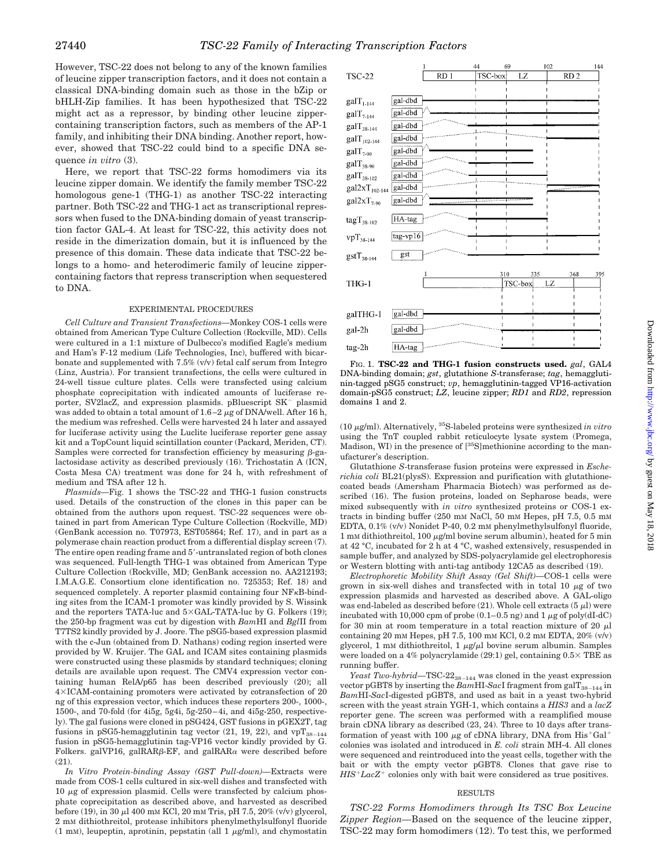However, TSC-22 does not belong to any of the known families of leucine zipper transcription factors, and it does not contain a classical DNA-binding domain such as those in the bZip or bHLH-Zip families. It has been hypothesized that TSC-22 might act as a repressor, by binding other leucine zippercontaining transcription factors, such as members of the AP-1 family, and inhibiting their DNA binding. Another report, however, showed that TSC-22 could bind to a specific DNA sequence *in vitro* (3).

Here, we report that TSC-22 forms homodimers via its leucine zipper domain. We identify the family member TSC-22 homologous gene-1 (THG-1) as another TSC-22 interacting partner. Both TSC-22 and THG-1 act as transcriptional repressors when fused to the DNA-binding domain of yeast transcription factor GAL-4. At least for TSC-22, this activity does not reside in the dimerization domain, but it is influenced by the presence of this domain. These data indicate that TSC-22 belongs to a homo- and heterodimeric family of leucine zippercontaining factors that repress transcription when sequestered to DNA.

#### EXPERIMENTAL PROCEDURES

*Cell Culture and Transient Transfections—*Monkey COS-1 cells were obtained from American Type Culture Collection (Rockville, MD). Cells were cultured in a 1:1 mixture of Dulbecco's modified Eagle's medium and Ham's F-12 medium (Life Technologies, Inc), buffered with bicarbonate and supplemented with 7.5% (v/v) fetal calf serum from Integro (Linz, Austria). For transient transfections, the cells were cultured in 24-well tissue culture plates. Cells were transfected using calcium phosphate coprecipitation with indicated amounts of luciferase reporter, SV2lacZ, and expression plasmids. pBluescript SK<sup>-</sup> plasmid was added to obtain a total amount of  $1.6-2 \mu$ g of DNA/well. After 16 h, the medium was refreshed. Cells were harvested 24 h later and assayed for luciferase activity using the Luclite luciferase reporter gene assay kit and a TopCount liquid scintillation counter (Packard, Meriden, CT). Samples were corrected for transfection efficiency by measuring  $\beta$ -galactosidase activity as described previously (16). Trichostatin A (ICN, Costa Mesa CA) treatment was done for 24 h, with refreshment of medium and TSA after 12 h.

*Plasmids—*Fig. 1 shows the TSC-22 and THG-1 fusion constructs used. Details of the construction of the clones in this paper can be obtained from the authors upon request. TSC-22 sequences were obtained in part from American Type Culture Collection (Rockville, MD) (GenBank accession no. T07973, EST05864; Ref. 17), and in part as a polymerase chain reaction product from a differential display screen (7). The entire open reading frame and 5'-untranslated region of both clones was sequenced. Full-length THG-1 was obtained from American Type Culture Collection (Rockville, MD; GenBank accession no. AA212193; I.M.A.G.E. Consortium clone identification no. 725353; Ref. 18) and sequenced completely. A reporter plasmid containing four NF<sub>K</sub>B-binding sites from the ICAM-1 promoter was kindly provided by S. Wissink and the reporters TATA-luc and  $5 \times GAM$ -TATA-luc by G. Folkers (19); the 250-bp fragment was cut by digestion with *Bam*HI and *Bgl*II from T7TS2 kindly provided by J. Joore. The pSG5-based expression plasmid with the c-Jun (obtained from D. Nathans) coding region inserted were provided by W. Kruijer. The GAL and ICAM sites containing plasmids were constructed using these plasmids by standard techniques; cloning details are available upon request. The CMV4 expression vector containing human RelA/p65 has been described previously (20); all 43ICAM-containing promoters were activated by cotransfection of 20 ng of this expression vector, which induces these reporters 200-, 1000-, 1500-, and 70-fold (for 4i5g, 5g4i, 5g-250–4i, and 4i5g-250, respectively). The gal fusions were cloned in pSG424, GST fusions in pGEX2T, tag fusions in pSG5-hemagglutinin tag vector (21, 19, 22), and  $vpT_{38-144}$ fusion in pSG5-hemagglutinin tag-VP16 vector kindly provided by G. Folkers. galVP16, galRAR $\beta$ -EF, and galRAR $\alpha$  were described before (21).

*In Vitro Protein-binding Assay (GST Pull-down)—*Extracts were made from COS-1 cells cultured in six-well dishes and transfected with  $10 \mu$ g of expression plasmid. Cells were transfected by calcium phosphate coprecipitation as described above, and harvested as described before (19), in 30 µl 400 mm KCl, 20 mm Tris, pH 7.5, 20% (v/v) glycerol, 2 mM dithiothreitol, protease inhibitors phenylmethylsulfonyl fluoride (1 mM), leupeptin, aprotinin, pepstatin (all 1  $\mu$ g/ml), and chymostatin



FIG. 1. **TSC-22 and THG-1 fusion constructs used.** *gal*, GAL4 DNA-binding domain; *gst*, glutathione *S*-transferase; *tag*, hemagglutinin-tagged pSG5 construct; *vp*, hemagglutinin-tagged VP16-activation domain-pSG5 construct; *LZ*, leucine zipper; *RD1* and *RD2*, repression domains 1 and 2.

(10 <sup>m</sup>g/ml). Alternatively, 35S-labeled proteins were synthesized *in vitro* using the TnT coupled rabbit reticulocyte lysate system (Promega, Madison, WI) in the presence of [35S]methionine according to the manufacturer's description.

Glutathione *S*-transferase fusion proteins were expressed in *Escherichia coli* BL21(plysS). Expression and purification with glutathionecoated beads (Amersham Pharmacia Biotech) was performed as described (16). The fusion proteins, loaded on Sepharose beads, were mixed subsequently with *in vitro* synthesized proteins or COS-1 extracts in binding buffer (250 mM NaCl, 50 mM Hepes, pH 7.5, 0.5 mM EDTA, 0.1% (v/v) Nonidet P-40, 0.2 mM phenylmethylsulfonyl fluoride, 1 mM dithiothreitol, 100  $\mu$ g/ml bovine serum albumin), heated for 5 min at 42 °C, incubated for 2 h at 4 °C, washed extensively, resuspended in sample buffer, and analyzed by SDS-polyacrylamide gel electrophoresis or Western blotting with anti-tag antibody 12CA5 as described (19).

*Electrophoretic Mobility Shift Assay (Gel Shift)—*COS-1 cells were grown in six-well dishes and transfected with in total 10  $\mu$ g of two expression plasmids and harvested as described above. A GAL-oligo was end-labeled as described before (21). Whole cell extracts (5  $\mu$ l) were incubated with 10,000 cpm of probe  $(0.1-0.5 \text{ ng})$  and 1  $\mu$ g of poly(dI-dC) for 30 min at room temperature in a total reaction mixture of 20  $\mu$ l containing 20 mM Hepes, pH 7.5, 100 mM KCl, 0.2 mM EDTA, 20% (v/v) glycerol, 1 mM dithiothreitol, 1  $\mu$ g/ $\mu$ l bovine serum albumin. Samples were loaded on a 4% polyacrylamide (29:1) gel, containing  $0.5 \times$  TBE as running buffer.

*Yeast Two-hybrid*—TSC-22<sub>38-144</sub> was cloned in the yeast expression vector pGBT8 by inserting the  $BamHI-SacI$  fragment from gal $T_{38-144}$  in *Bam*HI-*Sac*I-digested pGBT8, and used as bait in a yeast two-hybrid screen with the yeast strain YGH-1, which contains a *HIS3* and a *lacZ* reporter gene. The screen was performed with a reamplified mouse brain cDNA library as described (23, 24). Three to 10 days after transformation of yeast with 100  $\mu$ g of cDNA library, DNA from His<sup>+</sup>Gal<sup>+</sup> colonies was isolated and introduced in *E. coli* strain MH-4. All clones were sequenced and reintroduced into the yeast cells, together with the bait or with the empty vector pGBT8. Clones that gave rise to  $HIS+LacZ^+$  colonies only with bait were considered as true positives.

## RESULTS

*TSC-22 Forms Homodimers through Its TSC Box Leucine Zipper Region—*Based on the sequence of the leucine zipper, TSC-22 may form homodimers (12). To test this, we performed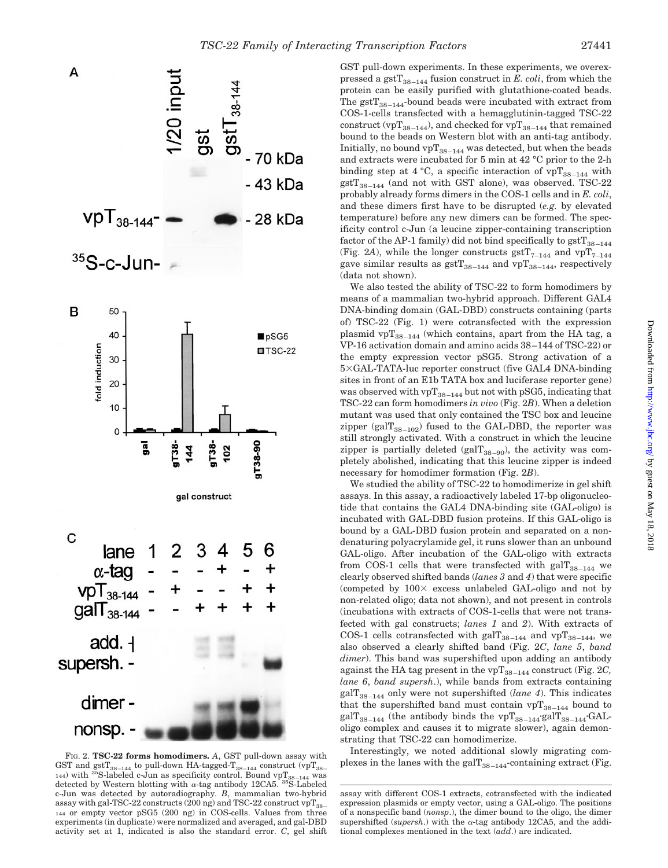

FIG. 2. **TSC-22 forms homodimers.** *A*, GST pull-down assay with<br>GST and gstT<sub>38–144</sub> to pull-down HA-tagged-T<sub>38–144</sub> construct (vpT<sub>38–</sub>plexes in the lanes with the galT<sub>38–144</sub>-containing extract (Fig. <sup>144)</sup> with <sup>35</sup>S-labeled c-Jun as specificity control. Bound vpT<sub>38–144</sub> was detected by Western blotting with  $\alpha$ -tag antibody 12CA5. <sup>35</sup>S-Labeled c-Jun was detected by autoradiography. *B*, mammalian two-hybrid assay with gal-TSC-22 constructs (200 ng) and TSC-22 construct  $vpT_{38}$ 144 or empty vector pSG5 (200 ng) in COS-cells. Values from three experiments (in duplicate) were normalized and averaged, and gal-DBD activity set at 1, indicated is also the standard error. *C*, gel shift

GST pull-down experiments. In these experiments, we overexpressed a gst $T_{38-144}$  fusion construct in *E. coli*, from which the protein can be easily purified with glutathione-coated beads. The  $gstr_{38-144}$ -bound beads were incubated with extract from COS-1-cells transfected with a hemagglutinin-tagged TSC-22 construct (vpT<sub>38–144</sub>), and checked for vpT<sub>38–144</sub> that remained bound to the beads on Western blot with an anti-tag antibody. Initially, no bound  $vpT_{38-144}$  was detected, but when the beads and extracts were incubated for 5 min at 42 °C prior to the 2-h binding step at 4 °C, a specific interaction of  $vpT_{38-144}$  with  $gstT_{38-144}$  (and not with GST alone), was observed. TSC-22 probably already forms dimers in the COS-1 cells and in *E. coli*, and these dimers first have to be disrupted (*e.g.* by elevated temperature) before any new dimers can be formed. The specificity control c-Jun (a leucine zipper-containing transcription factor of the AP-1 family) did not bind specifically to  $\text{gstT}_{38-144}$ (Fig. 2A), while the longer constructs  $gstT_{7-144}$  and  $vpT_{7-144}$ gave similar results as  $gstT_{38-144}$  and  $vpT_{38-144}$ , respectively (data not shown).

We also tested the ability of TSC-22 to form homodimers by means of a mammalian two-hybrid approach. Different GAL4 DNA-binding domain (GAL-DBD) constructs containing (parts of) TSC-22 (Fig. 1) were cotransfected with the expression plasmid vp $T_{38-144}$  (which contains, apart from the HA tag, a VP-16 activation domain and amino acids 38–144 of TSC-22) or the empty expression vector pSG5. Strong activation of a 53GAL-TATA-luc reporter construct (five GAL4 DNA-binding sites in front of an E1b TATA box and luciferase reporter gene) was observed with vp $T_{38-144}$  but not with pSG5, indicating that TSC-22 can form homodimers *in vivo* (Fig. 2*B*). When a deletion mutant was used that only contained the TSC box and leucine zipper (gal $T_{38-102}$ ) fused to the GAL-DBD, the reporter was still strongly activated. With a construct in which the leucine zipper is partially deleted (gal $T_{38-90}$ ), the activity was completely abolished, indicating that this leucine zipper is indeed necessary for homodimer formation (Fig. 2*B*).

We studied the ability of TSC-22 to homodimerize in gel shift assays. In this assay, a radioactively labeled 17-bp oligonucleotide that contains the GAL4 DNA-binding site (GAL-oligo) is incubated with GAL-DBD fusion proteins. If this GAL-oligo is bound by a GAL-DBD fusion protein and separated on a nondenaturing polyacrylamide gel, it runs slower than an unbound GAL-oligo. After incubation of the GAL-oligo with extracts from COS-1 cells that were transfected with gal $T_{38-144}$  we clearly observed shifted bands (*lanes 3* and *4*) that were specific (competed by  $100\times$  excess unlabeled GAL-oligo and not by non-related oligo; data not shown), and not present in controls (incubations with extracts of COS-1-cells that were not transfected with gal constructs; *lanes 1* and *2*). With extracts of COS-1 cells cotransfected with gal $T_{38-144}$  and vp $T_{38-144}$ , we also observed a clearly shifted band (Fig. 2*C*, *lane 5*, *band dimer*). This band was supershifted upon adding an antibody against the HA tag present in the  $vpT_{38-144}$  construct (Fig. 2*C*, *lane 6*, *band supersh*.), while bands from extracts containing  $\text{galT}_{38-144}$  only were not supershifted (*lane 4*). This indicates that the supershifted band must contain  $vpT_{38-144}$  bound to gal $T_{38-144}$  (the antibody binds the vp $T_{38-144}$ -gal $T_{38-144}$ -GALoligo complex and causes it to migrate slower), again demonstrating that TSC-22 can homodimerize.

Interestingly, we noted additional slowly migrating com-

assay with different COS-1 extracts, cotransfected with the indicated expression plasmids or empty vector, using a GAL-oligo. The positions of a nonspecific band (*nonsp*.), the dimer bound to the oligo, the dimer supershifted ( $supersh$ .) with the  $\alpha$ -tag antibody 12CA5, and the additional complexes mentioned in the text (*add*.) are indicated.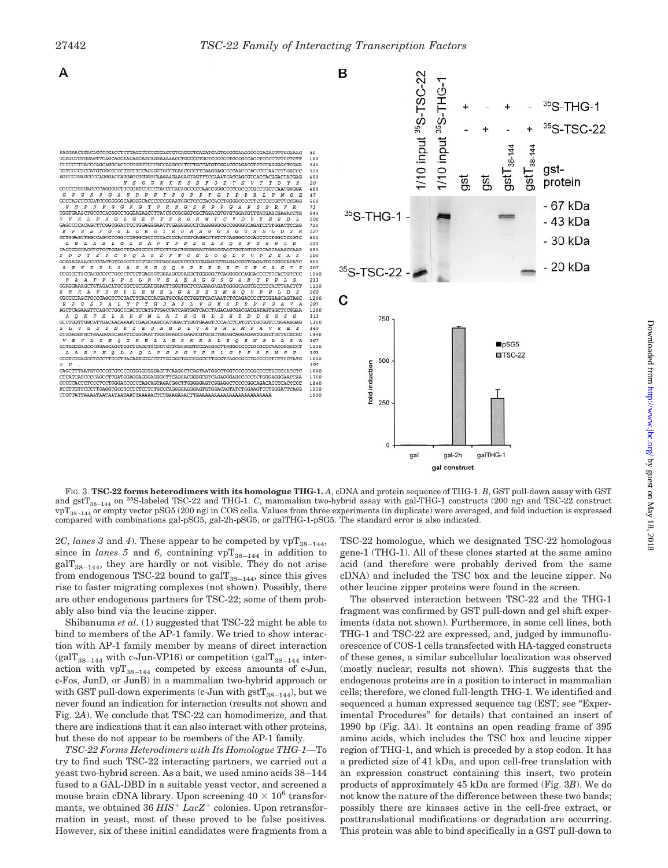



FIG. 3. **TSC-22 forms heterodimers with its homologue THG-1.** *A*, cDNA and protein sequence of THG-1. *B*, GST pull-down assay with GST and gstT38–144 on 35S-labeled TSC-22 and THG-1. *C*, mammalian two-hybrid assay with gal-THG-1 constructs (200 ng) and TSC-22 construct  $\text{vpT}_{38-144}$  or empty vector pSG5 (200 ng) in COS cells. Values from three experiments (in duplicate) were averaged, and fold induction is expressed compared with combinations gal-pSG5, gal-2h-pSG5, or galTHG-1-pSG5. The standard error is also indicated.

2*C*, *lanes* 3 and 4). These appear to be competed by  $vpT_{38-144}$ , since in *lanes 5* and 6, containing  $vpT_{38-144}$  in addition to  $\text{galT}_{38-144}$ , they are hardly or not visible. They do not arise from endogenous TSC-22 bound to gal $T_{38-144}$ , since this gives rise to faster migrating complexes (not shown). Possibly, there are other endogenous partners for TSC-22; some of them probably also bind via the leucine zipper.

Shibanuma *et al.* (1) suggested that TSC-22 might be able to bind to members of the AP-1 family. We tried to show interaction with AP-1 family member by means of direct interaction (gal $T_{38-144}$  with c-Jun-VP16) or competition (gal $T_{38-144}$  interaction with  $vpT_{38-144}$  competed by excess amounts of c-Jun, c-Fos, JunD, or JunB) in a mammalian two-hybrid approach or with GST pull-down experiments (c-Jun with  $gstT_{38-144}$ ), but we never found an indication for interaction (results not shown and Fig. 2*A*). We conclude that TSC-22 can homodimerize, and that there are indications that it can also interact with other proteins, but these do not appear to be members of the AP-1 family.

*TSC-22 Forms Heterodimers with Its Homologue THG-1—*To try to find such TSC-22 interacting partners, we carried out a yeast two-hybrid screen. As a bait, we used amino acids 38–144 fused to a GAL-DBD in a suitable yeast vector, and screened a mouse brain cDNA library. Upon screening  $40 \times 10^6$  transformants, we obtained  $36$   $HIS<sup>+</sup>$  *Lac* $Z<sup>+</sup>$  colonies. Upon retransformation in yeast, most of these proved to be false positives. However, six of these initial candidates were fragments from a TSC-22 homologue, which we designated TSC-22 homologous gene-1 (THG-1). All of these clones started at the same amino acid (and therefore were probably derived from the same cDNA) and included the TSC box and the leucine zipper. No other leucine zipper proteins were found in the screen.

gal construct

The observed interaction between TSC-22 and the THG-1 fragment was confirmed by GST pull-down and gel shift experiments (data not shown). Furthermore, in some cell lines, both THG-1 and TSC-22 are expressed, and, judged by immunofluorescence of COS-1 cells transfected with HA-tagged constructs of these genes, a similar subcellular localization was observed (mostly nuclear; results not shown). This suggests that the endogenous proteins are in a position to interact in mammalian cells; therefore, we cloned full-length THG-1. We identified and sequenced a human expressed sequence tag (EST; see "Experimental Procedures" for details) that contained an insert of 1990 bp (Fig. 3*A*). It contains an open reading frame of 395 amino acids, which includes the TSC box and leucine zipper region of THG-1, and which is preceded by a stop codon. It has a predicted size of 41 kDa, and upon cell-free translation with an expression construct containing this insert, two protein products of approximately 45 kDa are formed (Fig. 3*B*). We do not know the nature of the difference between these two bands; possibly there are kinases active in the cell-free extract, or posttranslational modifications or degradation are occurring. This protein was able to bind specifically in a GST pull-down to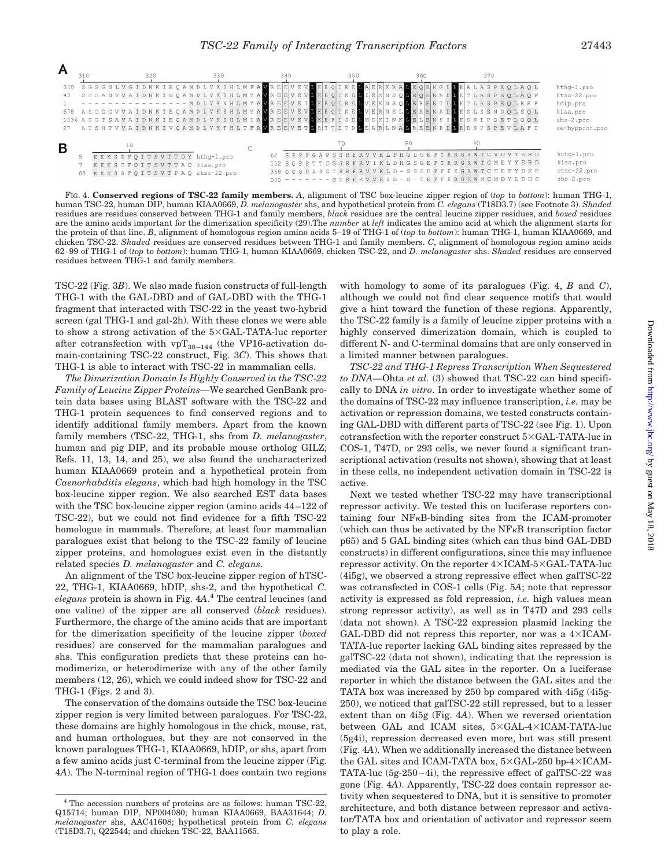

FIG. 4. **Conserved regions of TSC-22 family members.** *A*, alignment of TSC box-leucine zipper region of (*top* to *bottom*): human THG-1, human TSC-22, human DIP, human KIAA0669, *D. melanogaster* shs, and hypothetical protein from *C. elegans* (T18D3.7) (see Footnote 3). *Shaded* residues are residues conserved between THG-1 and family members, *black* residues are the central leucine zipper residues, and *boxed* residues are the amino acids important for the dimerization specificity (29).The *number* at *left* indicates the amino acid at which the alignment starts for the protein of that line. *B*, alignment of homologous region amino acids 5–19 of THG-1 of (*top* to *bottom*): human THG-1, human KIAA0669, and chicken TSC-22. *Shaded* residues are conserved residues between THG-1 and family members. *C*, alignment of homologous region amino acids 62–99 of THG-1 of (*top* to *bottom*): human THG-1, human KIAA0669, chicken TSC-22, and *D. melanogaster* shs. *Shaded* residues are conserved residues between THG-1 and family members.

TSC-22 (Fig. 3*B*). We also made fusion constructs of full-length THG-1 with the GAL-DBD and of GAL-DBD with the THG-1 fragment that interacted with TSC-22 in the yeast two-hybrid screen (gal THG-1 and gal-2h). With these clones we were able to show a strong activation of the  $5 \times \text{GAL-TATA-luc reporter}$ after cotransfection with  $\mathtt{vpT}_{38-144}$  (the VP16-activation domain-containing TSC-22 construct, Fig. 3*C*). This shows that THG-1 is able to interact with TSC-22 in mammalian cells.

*The Dimerization Domain Is Highly Conserved in the TSC-22 Family of Leucine Zipper Proteins—*We searched GenBank protein data bases using BLAST software with the TSC-22 and THG-1 protein sequences to find conserved regions and to identify additional family members. Apart from the known family members (TSC-22, THG-1, shs from *D. melanogaster*, human and pig DIP, and its probable mouse ortholog GILZ; Refs. 11, 13, 14, and 25), we also found the uncharacterized human KIAA0669 protein and a hypothetical protein from *Caenorhabditis elegans*, which had high homology in the TSC box-leucine zipper region. We also searched EST data bases with the TSC box-leucine zipper region (amino acids 44–122 of TSC-22), but we could not find evidence for a fifth TSC-22 homologue in mammals. Therefore, at least four mammalian paralogues exist that belong to the TSC-22 family of leucine zipper proteins, and homologues exist even in the distantly related species *D. melanogaster* and *C. elegans*.

An alignment of the TSC box-leucine zipper region of hTSC-22, THG-1, KIAA0669, hDIP, shs-2, and the hypothetical *C. elegans* protein is shown in Fig. 4*A*. <sup>4</sup> The central leucines (and one valine) of the zipper are all conserved (*black* residues). Furthermore, the charge of the amino acids that are important for the dimerization specificity of the leucine zipper (*boxed* residues) are conserved for the mammalian paralogues and shs. This configuration predicts that these proteins can homodimerize, or heterodimerize with any of the other family members (12, 26), which we could indeed show for TSC-22 and THG-1 (Figs. 2 and 3).

The conservation of the domains outside the TSC box-leucine zipper region is very limited between paralogues. For TSC-22, these domains are highly homologous in the chick, mouse, rat, and human orthologues, but they are not conserved in the known paralogues THG-1, KIAA0669, hDIP, or shs, apart from a few amino acids just C-terminal from the leucine zipper (Fig. 4*A*). The N-terminal region of THG-1 does contain two regions with homology to some of its paralogues (Fig. 4, *B* and *C*), although we could not find clear sequence motifs that would give a hint toward the function of these regions. Apparently, the TSC-22 family is a family of leucine zipper proteins with a highly conserved dimerization domain, which is coupled to different N- and C-terminal domains that are only conserved in a limited manner between paralogues.

*TSC-22 and THG-1 Repress Transcription When Sequestered to DNA—*Ohta *et al.* (3) showed that TSC-22 can bind specifically to DNA *in vitro*. In order to investigate whether some of the domains of TSC-22 may influence transcription, *i.e.* may be activation or repression domains, we tested constructs containing GAL-DBD with different parts of TSC-22 (see Fig. 1). Upon cotransfection with the reporter construct  $5\times \text{GAL-TATA-luc in}$ COS-1, T47D, or 293 cells, we never found a significant transcriptional activation (results not shown), showing that at least in these cells, no independent activation domain in TSC-22 is active.

Next we tested whether TSC-22 may have transcriptional repressor activity. We tested this on luciferase reporters containing four NFkB-binding sites from the ICAM-promoter (which can thus be activated by the NFkB transcription factor p65) and 5 GAL binding sites (which can thus bind GAL-DBD constructs) in different configurations, since this may influence repressor activity. On the reporter  $4\times$ ICAM- $5\times$ GAL-TATA-luc (4i5g), we observed a strong repressive effect when galTSC-22 was cotransfected in COS-1 cells (Fig. 5*A*; note that repressor activity is expressed as fold repression, *i.e.* high values mean strong repressor activity), as well as in T47D and 293 cells (data not shown). A TSC-22 expression plasmid lacking the GAL-DBD did not repress this reporter, nor was a  $4 \times$ ICAM-TATA-luc reporter lacking GAL binding sites repressed by the galTSC-22 (data not shown), indicating that the repression is mediated via the GAL sites in the reporter. On a luciferase reporter in which the distance between the GAL sites and the TATA box was increased by 250 bp compared with 4i5g (4i5g-250), we noticed that galTSC-22 still repressed, but to a lesser extent than on 4i5g (Fig. 4*A*). When we reversed orientation between GAL and ICAM sites,  $5 \times \text{GAL-4} \times \text{ICAM-TATA-luc}$ (5g4i), repression decreased even more, but was still present (Fig. 4*A*). When we additionally increased the distance between the GAL sites and ICAM-TATA box,  $5 \times$ GAL-250 bp-4 $\times$ ICAM-TATA-luc (5g-250–4i), the repressive effect of galTSC-22 was gone (Fig. 4*A*). Apparently, TSC-22 does contain repressor activity when sequestered to DNA, but it is sensitive to promoter architecture, and both distance between repressor and activator/TATA box and orientation of activator and repressor seem to play a role.

<sup>4</sup> The accession numbers of proteins are as follows: human TSC-22, Q15714; human DIP, NP004080; human KIAA0669, BAA31644; *D. melanogaster* shs, AAC41608; hypothetical protein from *C. elegans* (T18D3.7), Q22544; and chicken TSC-22, BAA11565.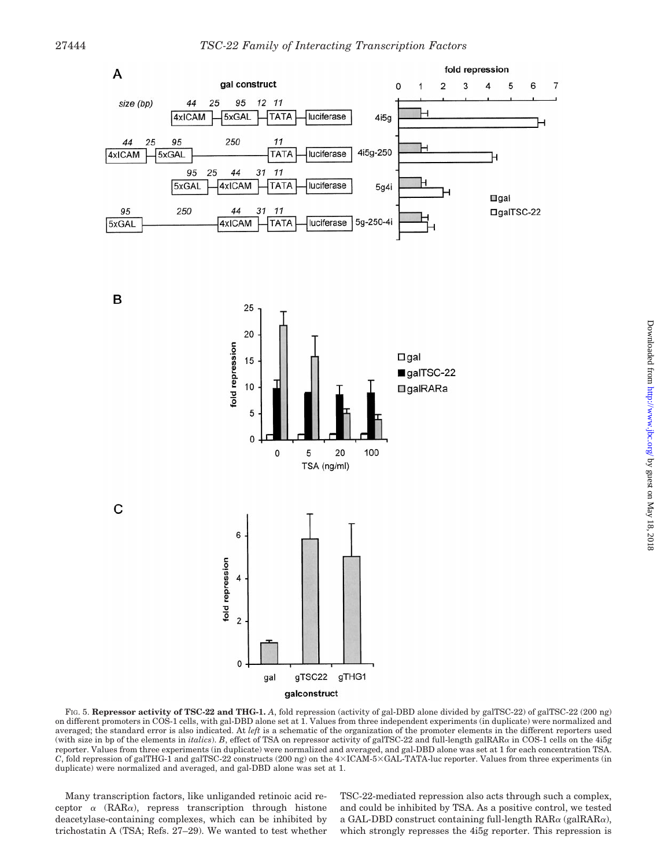



FIG. 5. **Repressor activity of TSC-22 and THG-1.** *A*, fold repression (activity of gal-DBD alone divided by galTSC-22) of galTSC-22 (200 ng) on different promoters in COS-1 cells, with gal-DBD alone set at 1. Values from three independent experiments (in duplicate) were normalized and averaged; the standard error is also indicated. At *left* is a schematic of the organization of the promoter elements in the different reporters used (with size in bp of the elements in *italics*). *B*, effect of TSA on repressor activity of galTSC-22 and full-length galRAR<sup>a</sup> in COS-1 cells on the 4i5g reporter. Values from three experiments (in duplicate) were normalized and averaged, and gal-DBD alone was set at 1 for each concentration TSA. *C*, fold repression of galTHG-1 and galTSC-22 constructs (200 ng) on the  $4\times$ ICAM-5 $\times$ GAL-TATA-luc reporter. Values from three experiments (in duplicate) were normalized and averaged, and gal-DBD alone was set at 1.

Many transcription factors, like unliganded retinoic acid receptor  $\alpha$  (RAR $\alpha$ ), repress transcription through histone deacetylase-containing complexes, which can be inhibited by trichostatin A (TSA; Refs. 27–29). We wanted to test whether

C

TSC-22-mediated repression also acts through such a complex, and could be inhibited by TSA. As a positive control, we tested a GAL-DBD construct containing full-length  $\text{RAR}\alpha$  (gal $\text{RAR}\alpha$ ), which strongly represses the 4i5g reporter. This repression is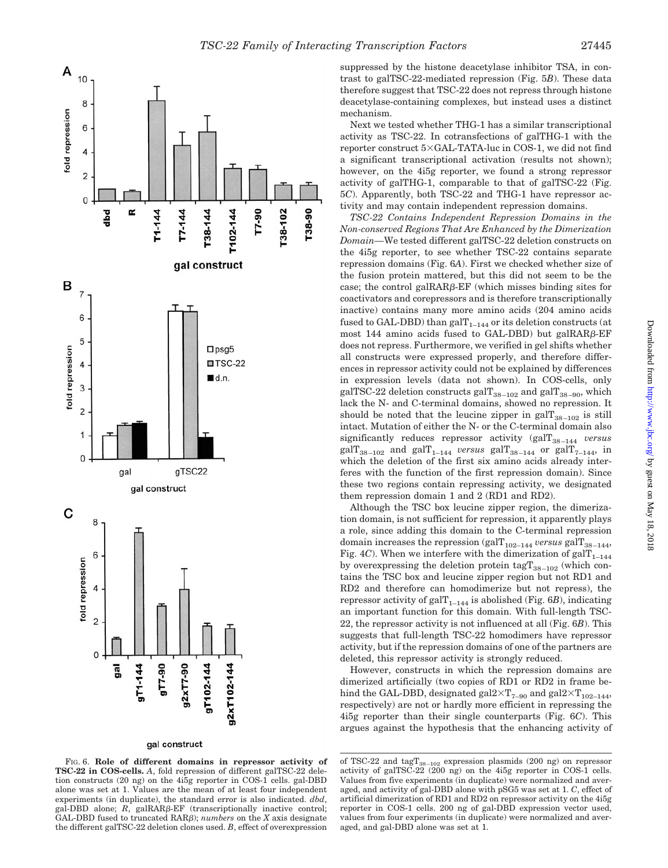

### gal construct

FIG. 6. **Role of different domains in repressor activity of TSC-22 in COS-cells.** *A*, fold repression of different galTSC-22 deletion constructs (20 ng) on the 4i5g reporter in COS-1 cells. gal-DBD alone was set at 1. Values are the mean of at least four independent experiments (in duplicate), the standard error is also indicated. *dbd*, gal-DBD alone;  $R$ , galRAR $\beta$ -EF (transcriptionally inactive control; GAL-DBD fused to truncated RARb); *numbers* on the *X* axis designate the different galTSC-22 deletion clones used. *B*, effect of overexpression

suppressed by the histone deacetylase inhibitor TSA, in contrast to galTSC-22-mediated repression (Fig. 5*B*). These data therefore suggest that TSC-22 does not repress through histone deacetylase-containing complexes, but instead uses a distinct mechanism.

Next we tested whether THG-1 has a similar transcriptional activity as TSC-22. In cotransfections of galTHG-1 with the reporter construct  $5 \times \text{GAL-TATA-luc}$  in COS-1, we did not find a significant transcriptional activation (results not shown); however, on the 4i5g reporter, we found a strong repressor activity of galTHG-1, comparable to that of galTSC-22 (Fig. 5*C*). Apparently, both TSC-22 and THG-1 have repressor activity and may contain independent repression domains.

*TSC-22 Contains Independent Repression Domains in the Non-conserved Regions That Are Enhanced by the Dimerization Domain—*We tested different galTSC-22 deletion constructs on the 4i5g reporter, to see whether TSC-22 contains separate repression domains (Fig. 6*A*). First we checked whether size of the fusion protein mattered, but this did not seem to be the case; the control galRAR $\beta$ -EF (which misses binding sites for coactivators and corepressors and is therefore transcriptionally inactive) contains many more amino acids (204 amino acids fused to GAL-DBD) than gal $T_{1-144}$  or its deletion constructs (at most 144 amino acids fused to GAL-DBD) but galRAR $\beta$ -EF does not repress. Furthermore, we verified in gel shifts whether all constructs were expressed properly, and therefore differences in repressor activity could not be explained by differences in expression levels (data not shown). In COS-cells, only galTSC-22 deletion constructs gal $T_{38-102}$  and gal $T_{38-90}$ , which lack the N- and C-terminal domains, showed no repression. It should be noted that the leucine zipper in gal $T_{38-102}$  is still intact. Mutation of either the N- or the C-terminal domain also significantly reduces repressor activity (galT<sub>38-144</sub> *versus* gal $T_{38-102}$  and gal $T_{1-144}$  versus gal $T_{38-144}$  or gal $T_{7-144}$ , in which the deletion of the first six amino acids already interferes with the function of the first repression domain). Since these two regions contain repressing activity, we designated them repression domain 1 and 2 (RD1 and RD2).

Although the TSC box leucine zipper region, the dimerization domain, is not sufficient for repression, it apparently plays a role, since adding this domain to the C-terminal repression domain increases the repression  $(galT_{102-144}$  *versus*  $galT_{38-144}$ , Fig. 4*C*). When we interfere with the dimerization of gal $T_{1-144}$ by overexpressing the deletion protein tag $T_{38-102}$  (which contains the TSC box and leucine zipper region but not RD1 and RD2 and therefore can homodimerize but not repress), the repressor activity of gal $T_{1-144}$  is abolished (Fig. 6*B*), indicating an important function for this domain. With full-length TSC-22, the repressor activity is not influenced at all (Fig. 6*B*). This suggests that full-length TSC-22 homodimers have repressor activity, but if the repression domains of one of the partners are deleted, this repressor activity is strongly reduced.

However, constructs in which the repression domains are dimerized artificially (two copies of RD1 or RD2 in frame behind the GAL-DBD, designated gal $2\times T_{7-90}$  and gal $2\times T_{102-144}$ , respectively) are not or hardly more efficient in repressing the 4i5g reporter than their single counterparts (Fig. 6*C*). This argues against the hypothesis that the enhancing activity of

of TSC-22 and  $\text{tagT}_{38-102}$  expression plasmids (200 ng) on repressor activity of galTSC-22 (200 ng) on the 4i5g reporter in COS-1 cells. Values from five experiments (in duplicate) were normalized and averaged, and activity of gal-DBD alone with pSG5 was set at 1. *C*, effect of artificial dimerization of RD1 and RD2 on repressor activity on the 4i5g reporter in COS-1 cells. 200 ng of gal-DBD expression vector used, values from four experiments (in duplicate) were normalized and averaged, and gal-DBD alone was set at 1.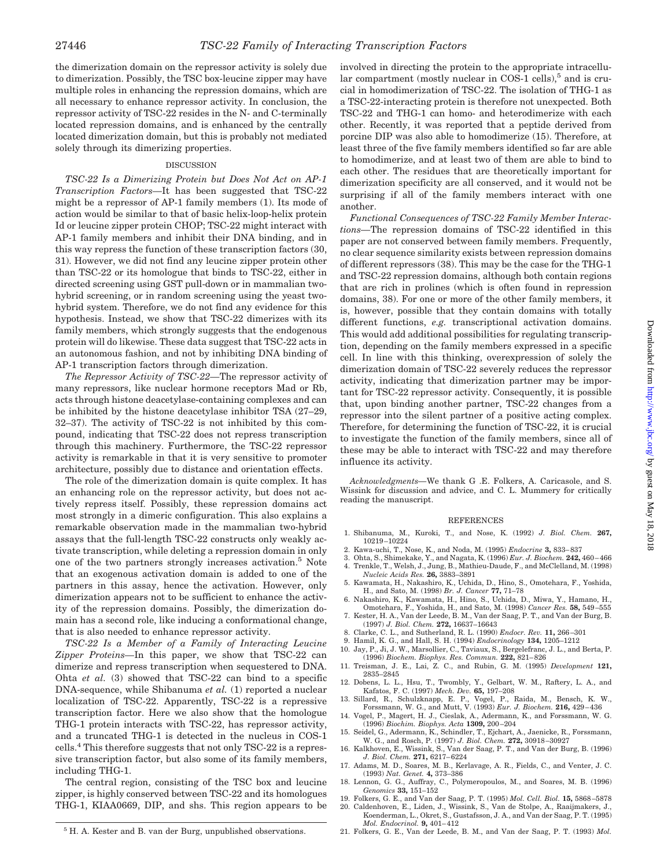the dimerization domain on the repressor activity is solely due to dimerization. Possibly, the TSC box-leucine zipper may have multiple roles in enhancing the repression domains, which are all necessary to enhance repressor activity. In conclusion, the repressor activity of TSC-22 resides in the N- and C-terminally located repression domains, and is enhanced by the centrally located dimerization domain, but this is probably not mediated solely through its dimerizing properties.

#### DISCUSSION

*TSC-22 Is a Dimerizing Protein but Does Not Act on AP-1 Transcription Factors—*It has been suggested that TSC-22 might be a repressor of AP-1 family members (1). Its mode of action would be similar to that of basic helix-loop-helix protein Id or leucine zipper protein CHOP; TSC-22 might interact with AP-1 family members and inhibit their DNA binding, and in this way repress the function of these transcription factors (30, 31). However, we did not find any leucine zipper protein other than TSC-22 or its homologue that binds to TSC-22, either in directed screening using GST pull-down or in mammalian twohybrid screening, or in random screening using the yeast twohybrid system. Therefore, we do not find any evidence for this hypothesis. Instead, we show that TSC-22 dimerizes with its family members, which strongly suggests that the endogenous protein will do likewise. These data suggest that TSC-22 acts in an autonomous fashion, and not by inhibiting DNA binding of AP-1 transcription factors through dimerization.

*The Repressor Activity of TSC-22—*The repressor activity of many repressors, like nuclear hormone receptors Mad or Rb, acts through histone deacetylase-containing complexes and can be inhibited by the histone deacetylase inhibitor TSA (27–29, 32–37). The activity of TSC-22 is not inhibited by this compound, indicating that TSC-22 does not repress transcription through this machinery. Furthermore, the TSC-22 repressor activity is remarkable in that it is very sensitive to promoter architecture, possibly due to distance and orientation effects.

The role of the dimerization domain is quite complex. It has an enhancing role on the repressor activity, but does not actively repress itself. Possibly, these repression domains act most strongly in a dimeric configuration. This also explains a remarkable observation made in the mammalian two-hybrid assays that the full-length TSC-22 constructs only weakly activate transcription, while deleting a repression domain in only one of the two partners strongly increases activation.5 Note that an exogenous activation domain is added to one of the partners in this assay, hence the activation. However, only dimerization appears not to be sufficient to enhance the activity of the repression domains. Possibly, the dimerization domain has a second role, like inducing a conformational change, that is also needed to enhance repressor activity.

*TSC-22 Is a Member of a Family of Interacting Leucine Zipper Proteins—*In this paper, we show that TSC-22 can dimerize and repress transcription when sequestered to DNA. Ohta *et al.* (3) showed that TSC-22 can bind to a specific DNA-sequence, while Shibanuma *et al.* (1) reported a nuclear localization of TSC-22. Apparently, TSC-22 is a repressive transcription factor. Here we also show that the homologue THG-1 protein interacts with TSC-22, has repressor activity, and a truncated THG-1 is detected in the nucleus in COS-1 cells.4 This therefore suggests that not only TSC-22 is a repressive transcription factor, but also some of its family members, including THG-1.

The central region, consisting of the TSC box and leucine zipper, is highly conserved between TSC-22 and its homologues THG-1, KIAA0669, DIP, and shs. This region appears to be involved in directing the protein to the appropriate intracellular compartment (mostly nuclear in COS-1 cells),<sup>5</sup> and is crucial in homodimerization of TSC-22. The isolation of THG-1 as a TSC-22-interacting protein is therefore not unexpected. Both TSC-22 and THG-1 can homo- and heterodimerize with each other. Recently, it was reported that a peptide derived from porcine DIP was also able to homodimerize (15). Therefore, at least three of the five family members identified so far are able to homodimerize, and at least two of them are able to bind to each other. The residues that are theoretically important for dimerization specificity are all conserved, and it would not be surprising if all of the family members interact with one another.

*Functional Consequences of TSC-22 Family Member Interactions—*The repression domains of TSC-22 identified in this paper are not conserved between family members. Frequently, no clear sequence similarity exists between repression domains of different repressors (38). This may be the case for the THG-1 and TSC-22 repression domains, although both contain regions that are rich in prolines (which is often found in repression domains, 38). For one or more of the other family members, it is, however, possible that they contain domains with totally different functions, *e.g.* transcriptional activation domains. This would add additional possibilities for regulating transcription, depending on the family members expressed in a specific cell. In line with this thinking, overexpression of solely the dimerization domain of TSC-22 severely reduces the repressor activity, indicating that dimerization partner may be important for TSC-22 repressor activity. Consequently, it is possible that, upon binding another partner, TSC-22 changes from a repressor into the silent partner of a positive acting complex. Therefore, for determining the function of TSC-22, it is crucial to investigate the function of the family members, since all of these may be able to interact with TSC-22 and may therefore influence its activity.

*Acknowledgments—*We thank G .E. Folkers, A. Caricasole, and S. Wissink for discussion and advice, and C. L. Mummery for critically reading the manuscript.

#### REFERENCES

- 1. Shibanuma, M., Kuroki, T., and Nose, K. (1992) *J. Biol. Chem.* **267,** 10219–10224
- 2. Kawa-uchi, T., Nose, K., and Noda, M. (1995) *Endocrine* **3,** 833–837
- 3. Ohta, S., Shimekake, Y., and Nagata, K. (1996) *Eur. J. Biochem.* **242,** 460–466
- 4. Trenkle, T., Welsh, J., Jung, B., Mathieu-Daude, F., and McClelland, M. (1998) *Nucleic Acids Res.* **26,** 3883–3891
- 5. Kawamata, H., Nakashiro, K., Uchida, D., Hino, S., Omotehara, F., Yoshida, H., and Sato, M. (1998) *Br. J. Cancer* **77,** 71–78
- 6. Nakashiro, K., Kawamata, H., Hino, S., Uchida, D., Miwa, Y., Hamano, H., Omotehara, F., Yoshida, H., and Sato, M. (1998) *Cancer Res.* **58,** 549–555
- 7. Kester, H. A., Van der Leede, B. M., Van der Saag, P. T., and Van der Burg, B. (1997) *J. Biol. Chem.* **272,** 16637–16643
- 8. Clarke, C. L., and Sutherland, R. L. (1990) *Endocr. Rev.* **11,** 266–301
- 9. Hamil, K. G., and Hall, S. H. (1994) *Endocrinology* **134,** 1205–1212
- 10. Jay, P., Ji, J. W., Marsollier, C., Taviaux, S., Bergelefranc, J. L., and Berta, P. (1996) *Biochem. Biophys. Res. Commun.* **222,** 821–826
- 11. Treisman, J. E., Lai, Z. C., and Rubin, G. M. (1995) *Development* **121,** 2835–2845
- 12. Dobens, L. L., Hsu, T., Twombly, Y., Gelbart, W. M., Raftery, L. A., and<br>Kafatos, F. C. (1997) *Mech. Dev.* **65**, 197–208<br>13. Sillard, R., Schulzknapp, E. P., Vogel, P., Raida, M., Bensch, K. W.,<br>Forssmann, W. G., and
- 
- 14. Vogel, P., Magert, H. J., Cieslak, A., Adermann, K., and Forssmann, W. G. (1996) *Biochim. Biophys. Acta* **1309,** 200–204 15. Seidel, G., Adermann, K., Schindler, T., Ejchart, A., Jaenicke, R., Forssmann,
- W. G., and Rosch, P. (1997) *J. Biol. Chem.* **272,** 30918–30927
- 16. Kalkhoven, E., Wissink, S., Van der Saag, P. T., and Van der Burg, B. (1996) *J. Biol. Chem.* **271,** 6217–6224
- 17. Adams, M. D., Soares, M. B., Kerlavage, A. R., Fields, C., and Venter, J. C. (1993) *Nat. Genet.* **4,** 373–386
- 18. Lennon, G. G., Auffray, C., Polymeropoulos, M., and Soares, M. B. (1996) *Genomics* **33,** 151–152
- 19. Folkers, G. E., and Van der Saag, P. T. (1995) *Mol. Cell. Biol.* **15,** 5868–5878 20. Caldenhoven, E., Liden, J., Wissink, S., Van de Stolpe, A., Raaijmakers, J.,
- Koenderman, L., Okret, S., Gustafsson, J. A., and Van der Saag, P. T. (1995) *Mol. Endocrinol.* **9,** 401–412
-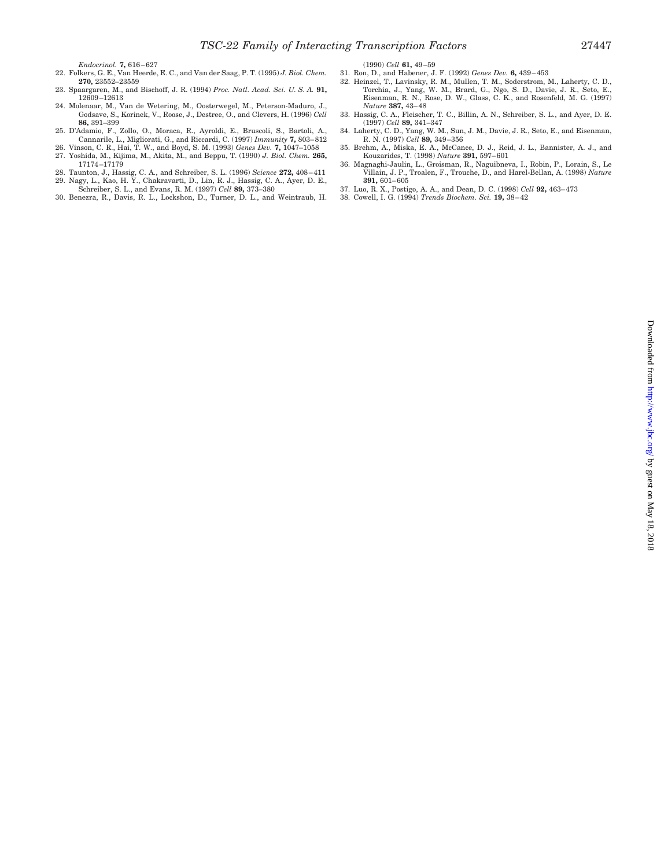- 22. Folkers, G. E., Van Heerde, E. C., and Van der Saag, P. T. (1995) *J. Biol. Chem.* **270,** 23552–23559
- 23. Spaargaren, M., and Bischoff, J. R. (1994) *Proc. Natl. Acad. Sci. U. S. A.* **91,** 12609–12613
- 24. Molenaar, M., Van de Wetering, M., Oosterwegel, M., Peterson-Maduro, J., Godsave, S., Korinek, V., Roose, J., Destree, O., and Clevers, H. (1996) *Cell* **86,** 391–399
- 25. D'Adamio, F., Zollo, O., Moraca, R., Ayroldi, E., Bruscoli, S., Bartoli, A., Cannarile, L., Migliorati, G., and Riccardi, C. (1997) *Immunity* **7,** 803–812
- 26. Vinson, C. R., Hai, T. W., and Boyd, S. M. (1993) *Genes Dev.* **7,** 1047–1058 27. Yoshida, M., Kijima, M., Akita, M., and Beppu, T. (1990) *J. Biol. Chem.* **265,**
- 17174–17179 28. Taunton, J., Hassig, C. A., and Schreiber, S. L. (1996) *Science* **272,** 408–411 29. Nagy, L., Kao, H. Y., Chakravarti, D., Lin, R. J., Hassig, C. A., Ayer, D. E.,
- Schreiber, S. L., and Evans, R. M. (1997) *Cell* **89,** 373–380
- 30. Benezra, R., Davis, R. L., Lockshon, D., Turner, D. L., and Weintraub, H.

(1990) *Cell* **61,** 49–59

- 31. Ron, D., and Habener, J. F. (1992) *Genes Dev.* **6,** 439–453
- 32. Heinzel, T., Lavinsky, R. M., Mullen, T. M., Soderstrom, M., Laherty, C. D., Torchia, J., Yang, W. M., Brard, G., Ngo, S. D., Davie, J. R., Seto, E., Eisenman, R. N., Rose, D. W., Glass, C. K., and Rosenfeld, M. G. (1997)
- *Nature* **387,** 43–48 33. Hassig, C. A., Fleischer, T. C., Billin, A. N., Schreiber, S. L., and Ayer, D. E. (1997) *Cell* **89,** 341–347
- 34. Laherty, C. D., Yang, W. M., Sun, J. M., Davie, J. R., Seto, E., and Eisenman, R. N. (1997) *Cell* **89,** 349–356
- 35. Brehm, A., Miska, E. A., McCance, D. J., Reid, J. L., Bannister, A. J., and Kouzarides, T. (1998) *Nature* **391,** 597–601
- 36. Magnaghi-Jaulin, L., Groisman, R., Naguibneva, I., Robin, P., Lorain, S., Le Villain, J. P., Troalen, F., Trouche, D., and Harel-Bellan, A. (1998) *Nature* **391,** 601–605
- 37. Luo, R. X., Postigo, A. A., and Dean, D. C. (1998) *Cell* **92,** 463–473
- 38. Cowell, I. G. (1994) *Trends Biochem. Sci.* **19,** 38–42